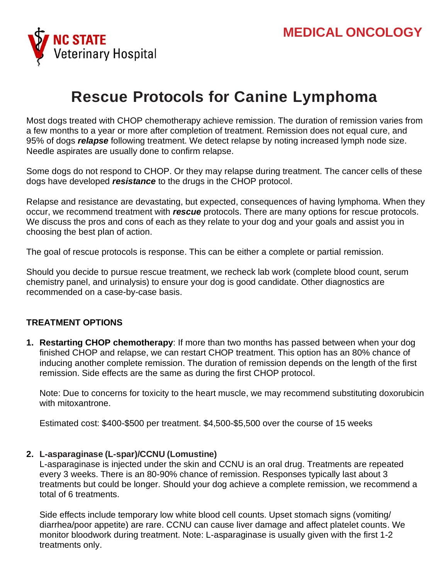

# **Rescue Protocols for Canine Lymphoma**

Most dogs treated with CHOP chemotherapy achieve remission. The duration of remission varies from a few months to a year or more after completion of treatment. Remission does not equal cure, and 95% of dogs *relapse* following treatment. We detect relapse by noting increased lymph node size. Needle aspirates are usually done to confirm relapse.

Some dogs do not respond to CHOP. Or they may relapse during treatment. The cancer cells of these dogs have developed *resistance* to the drugs in the CHOP protocol.

Relapse and resistance are devastating, but expected, consequences of having lymphoma. When they occur, we recommend treatment with *rescue* protocols. There are many options for rescue protocols. We discuss the pros and cons of each as they relate to your dog and your goals and assist you in choosing the best plan of action.

The goal of rescue protocols is response. This can be either a complete or partial remission.

Should you decide to pursue rescue treatment, we recheck lab work (complete blood count, serum chemistry panel, and urinalysis) to ensure your dog is good candidate. Other diagnostics are recommended on a case-by-case basis.

## **TREATMENT OPTIONS**

**1. Restarting CHOP chemotherapy**: If more than two months has passed between when your dog finished CHOP and relapse, we can restart CHOP treatment. This option has an 80% chance of inducing another complete remission. The duration of remission depends on the length of the first remission. Side effects are the same as during the first CHOP protocol.

Note: Due to concerns for toxicity to the heart muscle, we may recommend substituting doxorubicin with mitoxantrone.

Estimated cost: \$400-\$500 per treatment. \$4,500-\$5,500 over the course of 15 weeks

#### **2. L-asparaginase (L-spar)/CCNU (Lomustine)**

L-asparaginase is injected under the skin and CCNU is an oral drug. Treatments are repeated every 3 weeks. There is an 80-90% chance of remission. Responses typically last about 3 treatments but could be longer. Should your dog achieve a complete remission, we recommend a total of 6 treatments.

Side effects include temporary low white blood cell counts. Upset stomach signs (vomiting/ diarrhea/poor appetite) are rare. CCNU can cause liver damage and affect platelet counts. We monitor bloodwork during treatment. Note: L-asparaginase is usually given with the first 1-2 treatments only.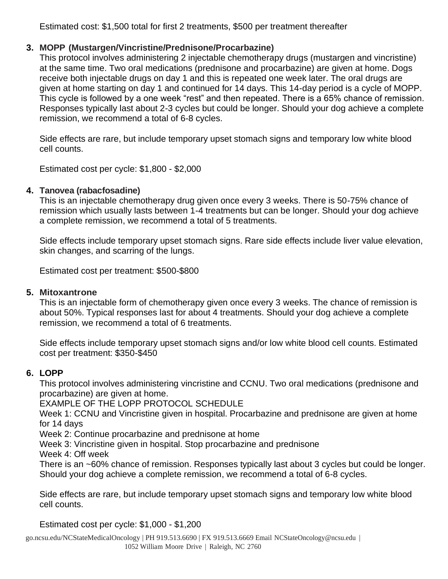Estimated cost: \$1,500 total for first 2 treatments, \$500 per treatment thereafter

# **3. MOPP (Mustargen/Vincristine/Prednisone/Procarbazine)**

This protocol involves administering 2 injectable chemotherapy drugs (mustargen and vincristine) at the same time. Two oral medications (prednisone and procarbazine) are given at home. Dogs receive both injectable drugs on day 1 and this is repeated one week later. The oral drugs are given at home starting on day 1 and continued for 14 days. This 14-day period is a cycle of MOPP. This cycle is followed by a one week "rest" and then repeated. There is a 65% chance of remission. Responses typically last about 2-3 cycles but could be longer. Should your dog achieve a complete remission, we recommend a total of 6-8 cycles.

Side effects are rare, but include temporary upset stomach signs and temporary low white blood cell counts.

Estimated cost per cycle: \$1,800 - \$2,000

# **4. Tanovea (rabacfosadine)**

This is an injectable chemotherapy drug given once every 3 weeks. There is 50-75% chance of remission which usually lasts between 1-4 treatments but can be longer. Should your dog achieve a complete remission, we recommend a total of 5 treatments.

Side effects include temporary upset stomach signs. Rare side effects include liver value elevation, skin changes, and scarring of the lungs.

Estimated cost per treatment: \$500-\$800

# **5. Mitoxantrone**

This is an injectable form of chemotherapy given once every 3 weeks. The chance of remission is about 50%. Typical responses last for about 4 treatments. Should your dog achieve a complete remission, we recommend a total of 6 treatments.

Side effects include temporary upset stomach signs and/or low white blood cell counts. Estimated cost per treatment: \$350-\$450

# **6. LOPP**

This protocol involves administering vincristine and CCNU. Two oral medications (prednisone and procarbazine) are given at home.

EXAMPLE OF THE LOPP PROTOCOL SCHEDULE

Week 1: CCNU and Vincristine given in hospital. Procarbazine and prednisone are given at home for 14 days

Week 2: Continue procarbazine and prednisone at home

Week 3: Vincristine given in hospital. Stop procarbazine and prednisone

Week 4: Off week

There is an ~60% chance of remission. Responses typically last about 3 cycles but could be longer. Should your dog achieve a complete remission, we recommend a total of 6-8 cycles.

Side effects are rare, but include temporary upset stomach signs and temporary low white blood cell counts.

Estimated cost per cycle: \$1,000 - \$1,200

go.ncsu.edu/NCStateMedicalOncology | PH 919.513.6690 | FX 919.513.6669 Email [NCStateOncology@ncsu.edu](mailto:NCStateOncology@ncsu.edu) | 1052 William Moore Drive | Raleigh, NC 2760